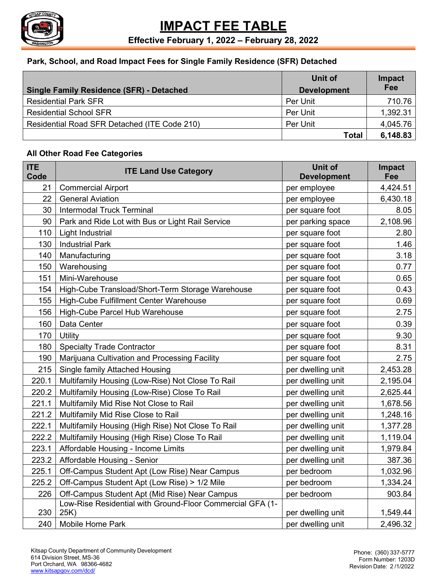

#### **Park, School, and Road Impact Fees for Single Family Residence (SFR) Detached**

|                                                 | Unit of            | <b>Impact</b> |
|-------------------------------------------------|--------------------|---------------|
| <b>Single Family Residence (SFR) - Detached</b> | <b>Development</b> | Fee           |
| <b>Residential Park SFR</b>                     | Per Unit           | 710.76        |
| <b>Residential School SFR</b>                   | Per Unit           | 1,392.31      |
| Residential Road SFR Detached (ITE Code 210)    | Per Unit           | 4,045.76      |
|                                                 | <b>Total</b>       | 6,148.83      |

#### **All Other Road Fee Categories**

| <b>ITE</b><br>Code | <b>ITE Land Use Category</b>                                     | <b>Unit of</b><br><b>Development</b> | Impact<br>Fee |
|--------------------|------------------------------------------------------------------|--------------------------------------|---------------|
| 21                 | <b>Commercial Airport</b>                                        | per employee                         | 4,424.51      |
| 22                 | <b>General Aviation</b>                                          | per employee                         | 6,430.18      |
| 30                 | <b>Intermodal Truck Terminal</b>                                 | per square foot                      | 8.05          |
| 90                 | Park and Ride Lot with Bus or Light Rail Service                 | per parking space                    | 2,108.96      |
| 110                | <b>Light Industrial</b>                                          | per square foot                      | 2.80          |
| 130                | <b>Industrial Park</b>                                           | per square foot                      | 1.46          |
| 140                | Manufacturing                                                    | per square foot                      | 3.18          |
| 150                | Warehousing                                                      | per square foot                      | 0.77          |
| 151                | Mini-Warehouse                                                   | per square foot                      | 0.65          |
| 154                | High-Cube Transload/Short-Term Storage Warehouse                 | per square foot                      | 0.43          |
| 155                | High-Cube Fulfillment Center Warehouse                           | per square foot                      | 0.69          |
| 156                | High-Cube Parcel Hub Warehouse                                   | per square foot                      | 2.75          |
| 160                | Data Center                                                      | per square foot                      | 0.39          |
| 170                | Utility                                                          | per square foot                      | 9.30          |
| 180                | <b>Specialty Trade Contractor</b>                                | per square foot                      | 8.31          |
| 190                | Marijuana Cultivation and Processing Facility                    | per square foot                      | 2.75          |
| 215                | Single family Attached Housing                                   | per dwelling unit                    | 2,453.28      |
| 220.1              | Multifamily Housing (Low-Rise) Not Close To Rail                 | per dwelling unit                    | 2,195.04      |
| 220.2              | Multifamily Housing (Low-Rise) Close To Rail                     | per dwelling unit                    | 2,625.44      |
| 221.1              | Multifamily Mid Rise Not Close to Rail                           | per dwelling unit                    | 1,678.56      |
| 221.2              | Multifamily Mid Rise Close to Rail                               | per dwelling unit                    | 1,248.16      |
| 222.1              | Multifamily Housing (High Rise) Not Close To Rail                | per dwelling unit                    | 1,377.28      |
| 222.2              | Multifamily Housing (High Rise) Close To Rail                    | per dwelling unit                    | 1,119.04      |
| 223.1              | Affordable Housing - Income Limits                               | per dwelling unit                    | 1,979.84      |
| 223.2              | Affordable Housing - Senior                                      | per dwelling unit                    | 387.36        |
| 225.1              | Off-Campus Student Apt (Low Rise) Near Campus                    | per bedroom                          | 1,032.96      |
| 225.2              | Off-Campus Student Apt (Low Rise) > 1/2 Mile                     | per bedroom                          | 1,334.24      |
| 226                | Off-Campus Student Apt (Mid Rise) Near Campus                    | per bedroom                          | 903.84        |
| 230                | Low-Rise Residential with Ground-Floor Commercial GFA (1-<br>25K | per dwelling unit                    | 1,549.44      |
| 240                | <b>Mobile Home Park</b>                                          | per dwelling unit                    | 2,496.32      |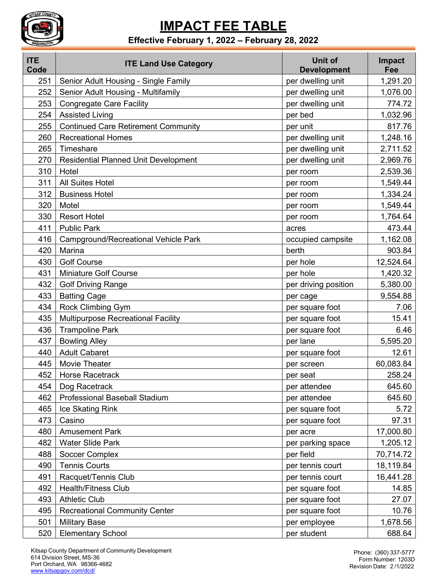

### **Effective February 1, 2022 – February 28, 2022**

| <b>ITE</b><br>Code | <b>ITE Land Use Category</b>                | <b>Unit of</b><br><b>Development</b> | Impact<br>Fee |
|--------------------|---------------------------------------------|--------------------------------------|---------------|
| 251                | Senior Adult Housing - Single Family        | per dwelling unit                    | 1,291.20      |
| 252                | Senior Adult Housing - Multifamily          | per dwelling unit                    | 1,076.00      |
| 253                | <b>Congregate Care Facility</b>             | per dwelling unit                    | 774.72        |
| 254                | <b>Assisted Living</b>                      | per bed                              | 1,032.96      |
| 255                | <b>Continued Care Retirement Community</b>  | per unit                             | 817.76        |
| 260                | <b>Recreational Homes</b>                   | per dwelling unit                    | 1,248.16      |
| 265                | Timeshare                                   | per dwelling unit                    | 2,711.52      |
| 270                | <b>Residential Planned Unit Development</b> | per dwelling unit                    | 2,969.76      |
| 310                | Hotel                                       | per room                             | 2,539.36      |
| 311                | <b>All Suites Hotel</b>                     | per room                             | 1,549.44      |
| 312                | <b>Business Hotel</b>                       | per room                             | 1,334.24      |
| 320                | Motel                                       | per room                             | 1,549.44      |
| 330                | <b>Resort Hotel</b>                         | per room                             | 1,764.64      |
| 411                | <b>Public Park</b>                          | acres                                | 473.44        |
| 416                | <b>Campground/Recreational Vehicle Park</b> | occupied campsite                    | 1,162.08      |
| 420                | Marina                                      | berth                                | 903.84        |
| 430                | <b>Golf Course</b>                          | per hole                             | 12,524.64     |
| 431                | <b>Miniature Golf Course</b>                | per hole                             | 1,420.32      |
| 432                | <b>Golf Driving Range</b>                   | per driving position                 | 5,380.00      |
| 433                | <b>Batting Cage</b>                         | per cage                             | 9,554.88      |
| 434                | Rock Climbing Gym                           | per square foot                      | 7.06          |
| 435                | Multipurpose Recreational Facility          | per square foot                      | 15.41         |
| 436                | <b>Trampoline Park</b>                      | per square foot                      | 6.46          |
| 437                | <b>Bowling Alley</b>                        | per lane                             | 5,595.20      |
| 440                | <b>Adult Cabaret</b>                        | per square foot                      | 12.61         |
| 445                | <b>Movie Theater</b>                        | per screen                           | 60,083.84     |
| 452                | <b>Horse Racetrack</b>                      | per seat                             | 258.24        |
| 454                | Dog Racetrack                               | per attendee                         | 645.60        |
| 462                | <b>Professional Baseball Stadium</b>        | per attendee                         | 645.60        |
| 465                | Ice Skating Rink                            | per square foot                      | 5.72          |
| 473                | Casino                                      | per square foot                      | 97.31         |
| 480                | <b>Amusement Park</b>                       | per acre                             | 17,000.80     |
| 482                | <b>Water Slide Park</b>                     | per parking space                    | 1,205.12      |
| 488                | <b>Soccer Complex</b>                       | per field                            | 70,714.72     |
| 490                | <b>Tennis Courts</b>                        | per tennis court                     | 18,119.84     |
| 491                | Racquet/Tennis Club                         | per tennis court                     | 16,441.28     |
| 492                | <b>Health/Fitness Club</b>                  | per square foot                      | 14.85         |
| 493                | <b>Athletic Club</b>                        | per square foot                      | 27.07         |
| 495                | <b>Recreational Community Center</b>        | per square foot                      | 10.76         |
| 501                | <b>Military Base</b>                        | per employee                         | 1,678.56      |
| 520                | <b>Elementary School</b>                    | per student                          | 688.64        |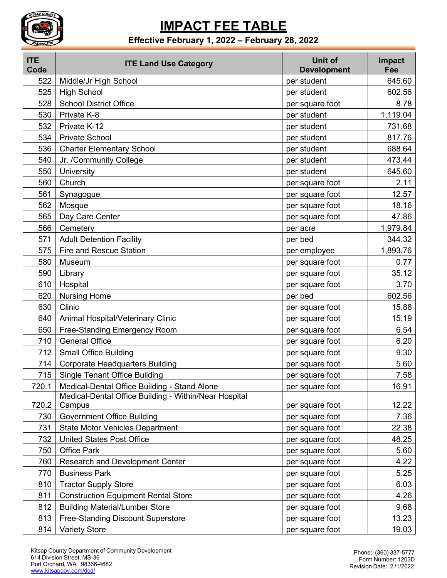

### **Effective February 1, 2022 – February 28, 2022**

| <b>ITE</b><br>Code | <b>ITE Land Use Category</b>                          | <b>Unit of</b><br><b>Development</b> | Impact<br>Fee |
|--------------------|-------------------------------------------------------|--------------------------------------|---------------|
| 522                | Middle/Jr High School                                 | per student                          | 645.60        |
| 525                | <b>High School</b>                                    | per student                          | 602.56        |
| 528                | <b>School District Office</b>                         | per square foot                      | 8.78          |
| 530                | Private K-8                                           | per student                          | 1,119.04      |
| 532                | Private K-12                                          | per student                          | 731.68        |
| 534                | <b>Private School</b>                                 | per student                          | 817.76        |
| 536                | <b>Charter Elementary School</b>                      | per student                          | 688.64        |
| 540                | Jr. /Community College                                | per student                          | 473.44        |
| 550                | University                                            | per student                          | 645.60        |
| 560                | Church                                                | per square foot                      | 2.11          |
| 561                | Synagogue                                             | per square foot                      | 12.57         |
| 562                | Mosque                                                | per square foot                      | 18.16         |
| 565                | Day Care Center                                       | per square foot                      | 47.86         |
| 566                | Cemetery                                              | per acre                             | 1,979.84      |
| 571                | <b>Adult Detention Facility</b>                       | per bed                              | 344.32        |
| 575                | <b>Fire and Rescue Station</b>                        | per employee                         | 1,893.76      |
| 580                | Museum                                                | per square foot                      | 0.77          |
| 590                | Library                                               | per square foot                      | 35.12         |
| 610                | Hospital                                              | per square foot                      | 3.70          |
| 620                | <b>Nursing Home</b>                                   | per bed                              | 602.56        |
| 630                | Clinic                                                | per square foot                      | 15.88         |
| 640                | Animal Hospital/Veterinary Clinic                     | per square foot                      | 15.19         |
| 650                | Free-Standing Emergency Room                          | per square foot                      | 6.54          |
| 710                | <b>General Office</b>                                 | per square foot                      | 6.20          |
| 712                | <b>Small Office Building</b>                          | per square foot                      | 9.30          |
| 714                | <b>Corporate Headquarters Building</b>                | per square foot                      | 5.60          |
| 715                | <b>Single Tenant Office Building</b>                  | per square foot                      | 7.58          |
| 720.1              | Medical-Dental Office Building - Stand Alone          | per square foot                      | 16.91         |
|                    | Medical-Dental Office Building - Within/Near Hospital |                                      |               |
| 720.2              | Campus                                                | per square foot                      | 12.22         |
| 730                | <b>Government Office Building</b>                     | per square foot                      | 7.36          |
| 731                | <b>State Motor Vehicles Department</b>                | per square foot                      | 22.38         |
| 732                | <b>United States Post Office</b>                      | per square foot                      | 48.25         |
| 750                | <b>Office Park</b>                                    | per square foot                      | 5.60          |
| 760                | Research and Development Center                       | per square foot                      | 4.22          |
| 770                | <b>Business Park</b>                                  | per square foot                      | 5.25          |
| 810                | <b>Tractor Supply Store</b>                           | per square foot                      | 6.03          |
| 811                | <b>Construction Equipment Rental Store</b>            | per square foot                      | 4.26          |
| 812                | <b>Building Material/Lumber Store</b>                 | per square foot                      | 9.68          |
| 813                | Free-Standing Discount Superstore                     | per square foot                      | 13.23         |
| 814                | <b>Variety Store</b>                                  | per square foot                      | 19.03         |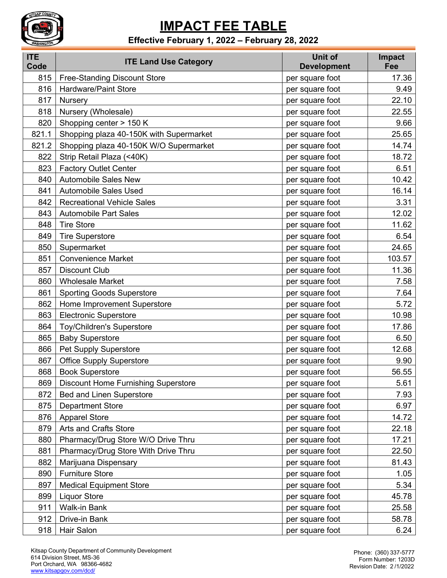

### **Effective February 1, 2022 – February 28, 2022**

| <b>ITE</b><br>Code | <b>ITE Land Use Category</b>               | Unit of<br><b>Development</b> | Impact<br>Fee |
|--------------------|--------------------------------------------|-------------------------------|---------------|
| 815                | <b>Free-Standing Discount Store</b>        | per square foot               | 17.36         |
| 816                | <b>Hardware/Paint Store</b>                | per square foot               | 9.49          |
| 817                | Nursery                                    | per square foot               | 22.10         |
| 818                | Nursery (Wholesale)                        | per square foot               | 22.55         |
| 820                | Shopping center > 150 K                    | per square foot               | 9.66          |
| 821.1              | Shopping plaza 40-150K with Supermarket    | per square foot               | 25.65         |
| 821.2              | Shopping plaza 40-150K W/O Supermarket     | per square foot               | 14.74         |
| 822                | Strip Retail Plaza (<40K)                  | per square foot               | 18.72         |
| 823                | <b>Factory Outlet Center</b>               | per square foot               | 6.51          |
| 840                | <b>Automobile Sales New</b>                | per square foot               | 10.42         |
| 841                | <b>Automobile Sales Used</b>               | per square foot               | 16.14         |
| 842                | <b>Recreational Vehicle Sales</b>          | per square foot               | 3.31          |
| 843                | <b>Automobile Part Sales</b>               | per square foot               | 12.02         |
| 848                | <b>Tire Store</b>                          | per square foot               | 11.62         |
| 849                | <b>Tire Superstore</b>                     | per square foot               | 6.54          |
| 850                | Supermarket                                | per square foot               | 24.65         |
| 851                | <b>Convenience Market</b>                  | per square foot               | 103.57        |
| 857                | <b>Discount Club</b>                       | per square foot               | 11.36         |
| 860                | <b>Wholesale Market</b>                    | per square foot               | 7.58          |
| 861                | <b>Sporting Goods Superstore</b>           | per square foot               | 7.64          |
| 862                | Home Improvement Superstore                | per square foot               | 5.72          |
| 863                | <b>Electronic Superstore</b>               | per square foot               | 10.98         |
| 864                | <b>Toy/Children's Superstore</b>           | per square foot               | 17.86         |
| 865                | <b>Baby Superstore</b>                     | per square foot               | 6.50          |
| 866                | Pet Supply Superstore                      | per square foot               | 12.68         |
| 867                | <b>Office Supply Superstore</b>            | per square foot               | 9.90          |
| 868                | <b>Book Superstore</b>                     | per square foot               | 56.55         |
| 869                | <b>Discount Home Furnishing Superstore</b> | per square foot               | 5.61          |
| 872                | <b>Bed and Linen Superstore</b>            | per square foot               | 7.93          |
| 875                | <b>Department Store</b>                    | per square foot               | 6.97          |
| 876                | <b>Apparel Store</b>                       | per square foot               | 14.72         |
| 879                | <b>Arts and Crafts Store</b>               | per square foot               | 22.18         |
| 880                | Pharmacy/Drug Store W/O Drive Thru         | per square foot               | 17.21         |
| 881                | Pharmacy/Drug Store With Drive Thru        | per square foot               | 22.50         |
| 882                | Marijuana Dispensary                       | per square foot               | 81.43         |
| 890                | <b>Furniture Store</b>                     | per square foot               | 1.05          |
| 897                | <b>Medical Equipment Store</b>             | per square foot               | 5.34          |
| 899                | <b>Liquor Store</b>                        | per square foot               | 45.78         |
| 911                | <b>Walk-in Bank</b>                        | per square foot               | 25.58         |
| 912                | Drive-in Bank                              | per square foot               | 58.78         |
| 918                | Hair Salon                                 | per square foot               | 6.24          |